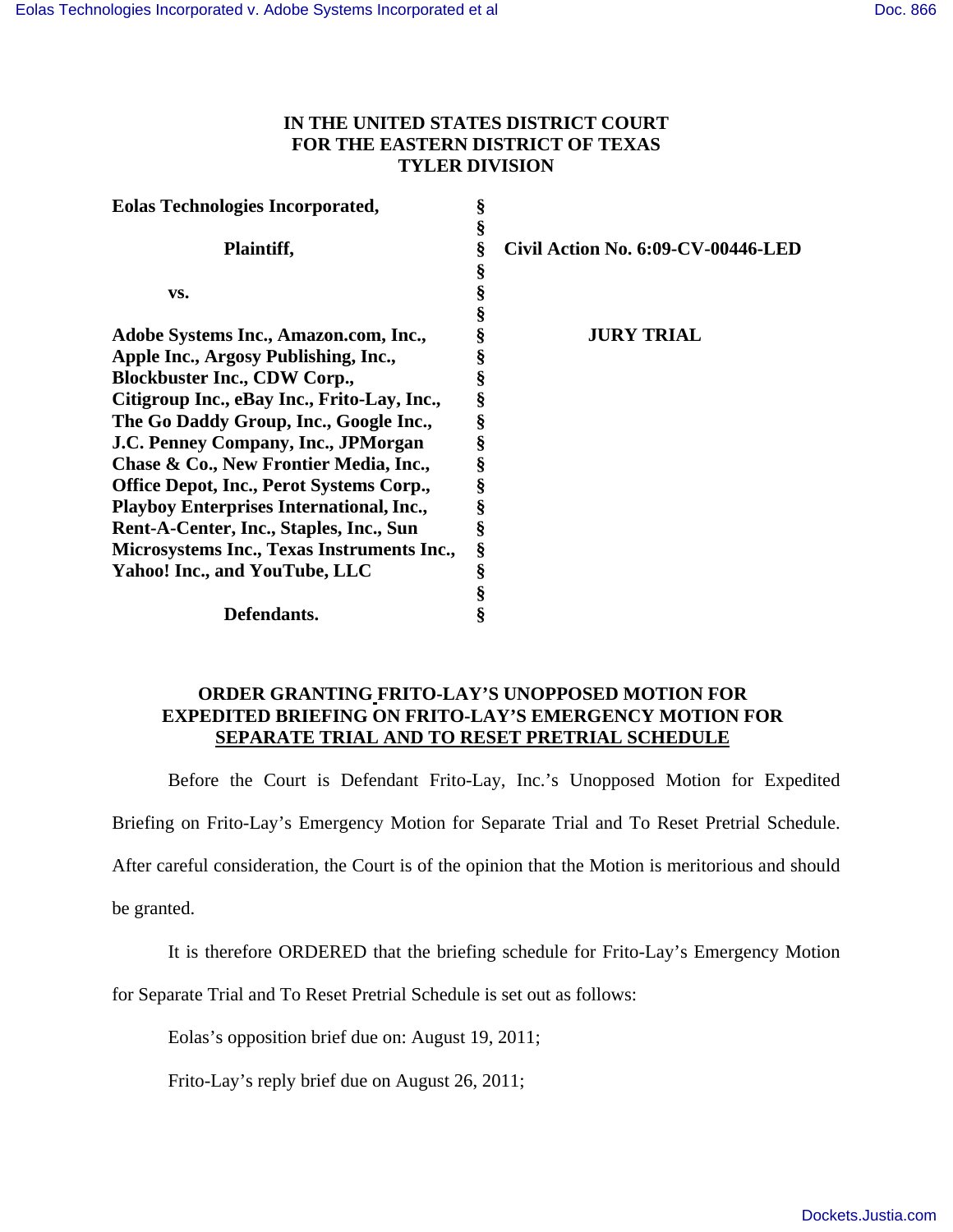## **IN THE UNITED STATES DISTRICT COURT FOR THE EASTERN DISTRICT OF TEXAS TYLER DIVISION**

| <b>Eolas Technologies Incorporated,</b>         | § |                                    |
|-------------------------------------------------|---|------------------------------------|
|                                                 | § |                                    |
| Plaintiff,                                      | § | Civil Action No. 6:09-CV-00446-LED |
|                                                 | ş |                                    |
| VS.                                             | ş |                                    |
|                                                 |   |                                    |
| Adobe Systems Inc., Amazon.com, Inc.,           | ş | <b>JURY TRIAL</b>                  |
| Apple Inc., Argosy Publishing, Inc.,            |   |                                    |
| <b>Blockbuster Inc., CDW Corp.,</b>             | ş |                                    |
| Citigroup Inc., eBay Inc., Frito-Lay, Inc.,     | § |                                    |
| The Go Daddy Group, Inc., Google Inc.,          | § |                                    |
| J.C. Penney Company, Inc., JPMorgan             | Ş |                                    |
| Chase & Co., New Frontier Media, Inc.,          | ş |                                    |
| <b>Office Depot, Inc., Perot Systems Corp.,</b> |   |                                    |
| <b>Playboy Enterprises International, Inc.,</b> | ş |                                    |
| Rent-A-Center, Inc., Staples, Inc., Sun         | ş |                                    |
| Microsystems Inc., Texas Instruments Inc.,      | § |                                    |
| Yahoo! Inc., and YouTube, LLC                   | § |                                    |
|                                                 | § |                                    |
| Defendants.                                     | ş |                                    |

## **ORDER GRANTING FRITO-LAY'S UNOPPOSED MOTION FOR EXPEDITED BRIEFING ON FRITO-LAY'S EMERGENCY MOTION FOR SEPARATE TRIAL AND TO RESET PRETRIAL SCHEDULE**

Before the Court is Defendant Frito-Lay, Inc.'s Unopposed Motion for Expedited Briefing on Frito-Lay's Emergency Motion for Separate Trial and To Reset Pretrial Schedule.

After careful consideration, the Court is of the opinion that the Motion is meritorious and should

be granted.

It is therefore ORDERED that the briefing schedule for Frito-Lay's Emergency Motion

for Separate Trial and To Reset Pretrial Schedule is set out as follows:

Eolas's opposition brief due on: August 19, 2011;

Frito-Lay's reply brief due on August 26, 2011;